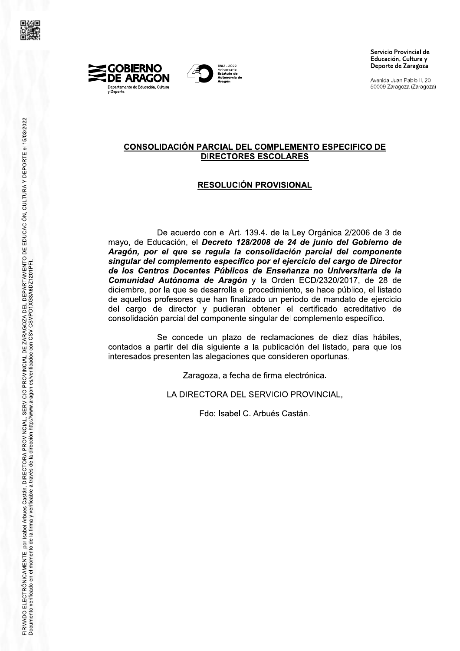





Avenida Juan Pablo II, 20 50009 Zaragoza (Zaragoza)

## <u>CONSOLIDACION PARCIAL DEL COMPLEMENTO ESPECIFICO DE</u> <u>DIRECTORES ESCOLARES</u>

# <u>RESOLUCION PROVISIONAL</u>

DIRECTORES ESCOLARES<br>
RESOLUCIÓN PROVISIONAL<br>
De acuerdo con el Art. 139.4. de la Ley Orgánica 2/2006 de 3 de<br>
mayo, de Educación, el Decreto 128/2008 de 24 de junio del Gobierno de<br>
Aragón, por el que se regula la consoli Comunidad Autónoma de Aragón y la Orden ECD/2320/2017, de 28 de diciembre, por la que se desarrolla el procedimiento, se hace público, el listado de aquellos profesores que han finalizado un periodo de mandato de ejercicio De acuerdo con el Art. 139.4. de la Ley Orgánica 2/2006 de 3 de<br>
Aragón, por el que se regula la consolidación parcial del Coolierno de<br>
Aragón, por el que se regula la consolidación parcial del componente<br>
singular del co de los Centros Docentes Públicos de Enseñanza no Universitaria de la Comunida Autónoma de Aragón y la Orden ECD/230/2017, de 28 de director por la que es desarrolla el procedimiento, se hace público, el listado de aquellos

icargo de director y pudieran obtener el certificado acconsolidación parcial del componente singular del complemento escribilidación parcial del componente singular del complemento escribilidades a partir del día siguiente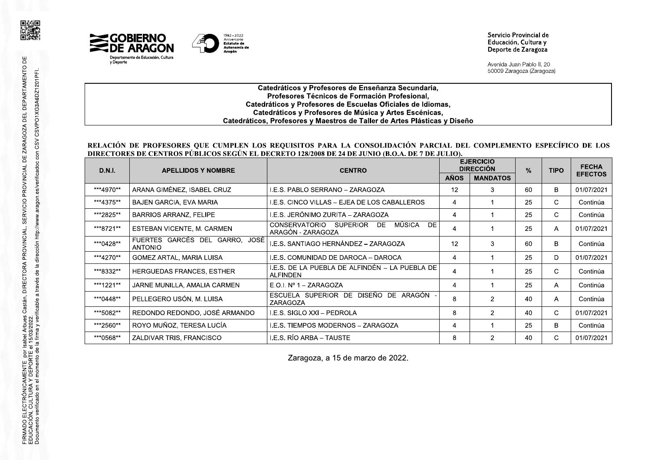



Avenida Juan Pablo II. 20 50009 Zaragoza (Zaragoza)

### Catedráticos y Profesores de Enseñanza Secundaria, Profesores Técnicos de Formación Profesional, Catedráticos y Profesores de Escuelas Oficiales de Idiomas, Catedráticos y Profesores de Música y Artes Escénicas, Catedráticos, Profesores y Maestros de Taller de Artes Plásticas y Diseño

### RELACIÓN DE PROFESORES QUE CUMPLEN LOS REQUISITOS PARA LA CONSOLIDACIÓN PARCIAL DEL COMPLEMENTO ESPECÍFICO DE LOS DIRECTORES DE CENTROS PÚBLICOS SEGÚN EL DECRETO 128/2008 DE 24 DE JUNIO (B.O.A. DE 7 DE JULIO).

| <b>D.N.I.</b> | <b>APELLIDOS Y NOMBRE</b>                        | <b>CENTRO</b>                                                      | <b>EJERCICIO</b><br><b>DIRECCIÓN</b> |                 | $\frac{9}{6}$ | <b>TIPO</b> | <b>FECHA</b>   |
|---------------|--------------------------------------------------|--------------------------------------------------------------------|--------------------------------------|-----------------|---------------|-------------|----------------|
|               |                                                  |                                                                    | <b>AÑOS</b>                          | <b>MANDATOS</b> |               |             | <b>EFECTOS</b> |
| ***4970**     | ARANA GIMÉNEZ, ISABEL CRUZ                       | I.E.S. PABLO SERRANO - ZARAGOZA                                    | 12                                   | 3               | 60            | B           | 01/07/2021     |
| ***4375**     | <b>BAJEN GARCIA, EVA MARIA</b>                   | I.E.S. CINCO VILLAS - EJEA DE LOS CABALLEROS                       | 4                                    |                 | 25            | C.          | Continúa       |
| ***2825**     | <b>BARRIOS ARRANZ, FELIPE</b>                    | I.E.S. JERÓNIMO ZURITA – ZARAGOZA                                  | 4                                    |                 | 25            | C.          | Continúa       |
| ***8721**     | ESTEBAN VICENTE, M. CARMEN                       | MÚSICA<br>DE.<br>CONSERVATORIO SUPERIOR<br>DE<br>ARAGÓN - ZARAGOZA | 4                                    |                 | 25            | A           | 01/07/2021     |
| ***0428**     | FUERTES GARCÉS DEL GARRO, JOSÉ<br><b>ANTONIO</b> | I.E.S. SANTIAGO HERNÁNDEZ – ZARAGOZA                               | 12                                   | 3               | 60            | B           | Continúa       |
| ***4270**     | GOMEZ ARTAL, MARIA LUISA                         | I.E.S. COMUNIDAD DE DAROCA - DAROCA                                | 4                                    |                 | 25            | D           | 01/07/2021     |
| ***8332**     | HERGUEDAS FRANCES, ESTHER                        | I.E.S. DE LA PUEBLA DE ALFINDÉN – LA PUEBLA DE<br><b>ALFINDEN</b>  | 4                                    |                 | 25            | C           | Continúa       |
| ***1221**     | JARNE MUNILLA, AMALIA CARMEN                     | E.O.I. $N^{\circ}$ 1 - ZARAGOZA                                    | 4                                    |                 | 25            | A           | Continúa       |
| ***0448**     | PELLEGERO USÓN, M. LUISA                         | ESCUELA SUPERIOR DE DISEÑO DE ARAGÓN -<br>ZARAGOZA                 | 8                                    | 2               | 40            | A           | Continúa       |
| ***5082**     | REDONDO REDONDO, JOSÉ ARMANDO                    | I.E.S. SIGLO XXI - PEDROLA                                         | 8                                    | $\mathcal{P}$   | 40            | C.          | 01/07/2021     |
| ***2560**     | ROYO MUÑOZ, TERESA LUCÍA                         | <b>I.E.S. TIEMPOS MODERNOS - ZARAGOZA</b>                          | 4                                    |                 | 25            | B           | Continúa       |
| ***0568**     | ZALDIVAR TRIS, FRANCISCO                         | I.E.S. RÍO ARBA – TAUSTE                                           | 8                                    | $\mathcal{P}$   | 40            | C.          | 01/07/2021     |

Zaragoza, a 15 de marzo de 2022.

同类间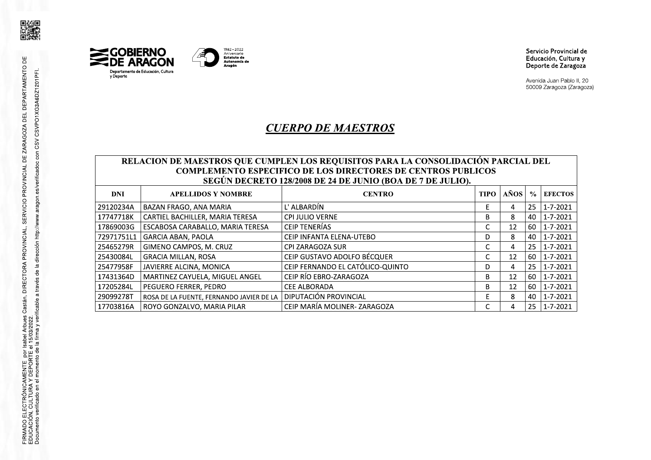



# MAESTROS

# *MAESTROS<br>DUISITOS PARA LA CONSOLIDACI*

|                                                                                                                                                                                                                        |                                          | <b>CUERPO DE MAESTROS</b>        |             |      |               | 50009 Zaragoza (Zaragoza) |
|------------------------------------------------------------------------------------------------------------------------------------------------------------------------------------------------------------------------|------------------------------------------|----------------------------------|-------------|------|---------------|---------------------------|
| RELACION DE MAESTROS QUE CUMPLEN LOS REQUISITOS PARA LA CONSOLIDACIÓN PARCIAL DEL<br><b>COMPLEMENTO ESPECIFICO DE LOS DIRECTORES DE CENTROS PUBLICOS</b><br>SEGÚN DECRETO 128/2008 DE 24 DE JUNIO (BOA DE 7 DE JULIO). |                                          |                                  |             |      |               |                           |
| <b>DNI</b>                                                                                                                                                                                                             | <b>APELLIDOS Y NOMBRE</b>                | <b>CENTRO</b>                    | <b>TIPO</b> | AÑOS | $\frac{0}{0}$ | <b>EFECTOS</b>            |
| 29120234A                                                                                                                                                                                                              | BAZAN FRAGO, ANA MARIA                   | L' ALBARDÍN                      | F           | 4    | 25            | 1-7-2021                  |
| 17747718K                                                                                                                                                                                                              | CARTIEL BACHILLER, MARIA TERESA          | <b>CPI JULIO VERNE</b>           | B           | 8    | 40            | 1-7-2021                  |
| 17869003G                                                                                                                                                                                                              | ESCABOSA CARABALLO, MARIA TERESA         | <b>CEIP TENERÍAS</b>             | C           | 12   | 60            | $1 - 7 - 2021$            |
| 72971751L1                                                                                                                                                                                                             | <b>GARCIA ABAN, PAOLA</b>                | CEIP INFANTA ELENA-UTEBO         | D           | 8    | 40            | $1 - 7 - 2021$            |
| 25465279R                                                                                                                                                                                                              | GIMENO CAMPOS, M. CRUZ                   | CPI ZARAGOZA SUR                 | C           | 4    | 25            | 1-7-2021                  |
|                                                                                                                                                                                                                        |                                          |                                  | C           | 12   | 60            | 1-7-2021                  |
| 25430084L                                                                                                                                                                                                              | <b>GRACIA MILLAN, ROSA</b>               | CEIP GUSTAVO ADOLFO BÉCQUER      |             |      |               |                           |
| 25477958F                                                                                                                                                                                                              | JAVIERRE ALCINA, MONICA                  | CEIP FERNANDO EL CATÓLICO-QUINTO | D           | 4    | 25            | 1-7-2021                  |
| 17431364D                                                                                                                                                                                                              | MARTINEZ CAYUELA, MIGUEL ANGEL           | CEIP RÍO EBRO-ZARAGOZA           | B           | 12   | 60            | 1-7-2021                  |
| 17205284L                                                                                                                                                                                                              | PEGUERO FERRER, PEDRO                    | <b>CEE ALBORADA</b>              | B           | 12   | 60            | 1-7-2021                  |
| 29099278T                                                                                                                                                                                                              | ROSA DE LA FUENTE, FERNANDO JAVIER DE LA | DIPUTACIÓN PROVINCIAL            | Е           | 8    | 40            | 1-7-2021                  |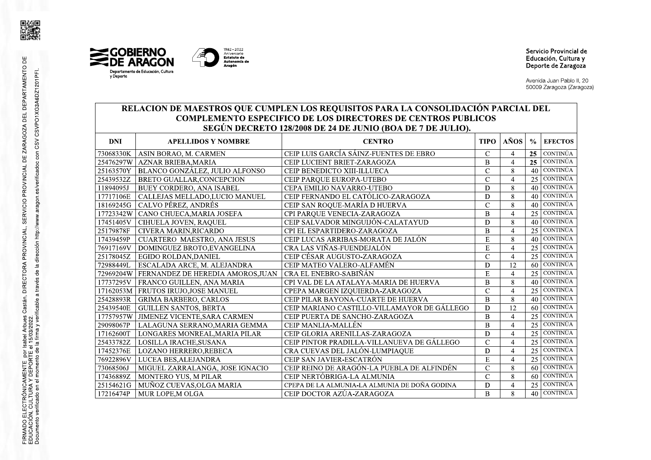





1982-2022 Aniversario **Latuto de**<br>Autonomía de Aragón

Servicio Provincial de Educación, Cultura y Deporte de Zaragoza

Avenida Juan Pablo II, 20 50009 Zaragoza (Zaragoza)

### RELACION DE MAESTROS QUE CUMPLEN LOS REQUISITOS PARA LA CONSOLIDACIÓN PARCIAL DEL **COMPLEMENTO ESPECIFICO DE LOS DIRECTORES DE CENTROS PUBLICOS** SEGÚN DECRETO 128/2008 DE 24 DE JUNIO (BOA DE 7 DE JULIO).

| <b>DNI</b> | <b>APELLIDOS Y NOMBRE</b>                  | <b>CENTRO</b>                                 | <b>TIPO</b>    | AÑOS                     | $\frac{6}{2}$   | <b>EFECTOS</b>  |
|------------|--------------------------------------------|-----------------------------------------------|----------------|--------------------------|-----------------|-----------------|
| 73068330K  | ASIN BORAO, M. CARMEN                      | CEIP LUIS GARCÍA SÁINZ-FUENTES DE EBRO        | $\mathcal{C}$  | $\overline{\mathcal{A}}$ | 25              | <b>CONTINÚA</b> |
| 25476297W  | <b>AZNAR BRIEBA, MARIA</b>                 | CEIP LUCIENT BRIET-ZARAGOZA                   | $\overline{B}$ | $\overline{4}$           | 25              | <b>CONTINÚA</b> |
|            | 25163570Y   BLANCO GONZÁLEZ, JULIO ALFONSO | CEIP BENEDICTO XIII-ILLUECA                   | $\mathcal{C}$  | 8                        | 40              | <b>CONTINÚA</b> |
| 25439532Z  | <b>BRETO GUALLAR, CONCEPCION</b>           | CEIP PARQUE EUROPA-UTEBO                      | $\overline{C}$ | $\overline{4}$           |                 | $25$ CONTINUA   |
| 11894095J  | <b>BUEY CORDERO, ANA ISABEL</b>            | CEPA EMILIO NAVARRO-UTEBO                     | D              | 8                        |                 | $40$ CONTINÚA   |
| 17717106E  | CALLEJAS MELLADO,LUCIO MANUEL              | CEIP FERNANDO EL CATÓLICO-ZARAGOZA            | $\mathbf D$    | 8                        | 40 <sup>1</sup> | <b>CONTINÚA</b> |
| 18169245G  | CALVO PÉREZ, ANDRÉS                        | CEIP SAN ROQUE-MARÍA D HUERVA                 | Ċ              | 8                        | 40              | <b>CONTINÚA</b> |
| 17723342W  | CANO CHUECA, MARIA JOSEFA                  | CPI PARQUE VENECIA-ZARAGOZA                   | $\overline{B}$ | $\overline{4}$           |                 | $25$ CONTINÚA   |
| 17451405V  | CIHUELA JOVEN, RAQUEL                      | CEIP SALVADOR MINGUIJÓN-CALATAYUD             | D              | 8                        |                 | 40 CONTINÚA     |
| 25179878F  | CIVERA MARIN, RICARDO                      | CPI EL ESPARTIDERO-ZARAGOZA                   | B              | $\overline{4}$           |                 | $25$ CONTINÚA   |
| 17439459P  | <b>CUARTERO MAESTRO, ANA JESUS</b>         | CEIP LUCAS ARRIBAS-MORATA DE JALÓN            | E              | 8                        |                 | 40 CONTINÚA     |
| 76917169V  | DOMINGUEZ BROTO, EVANGELINA                | CRA LAS VIÑAS-FUENDEJALÓN                     | E              | $\overline{4}$           |                 | $25$ CONTINUA   |
| 25178045Z  | EGIDO ROLDAN, DANIEL                       | CEIP CÉSAR AUGUSTO-ZARAGOZA                   | $\overline{C}$ | $\overline{4}$           |                 | $25$ CONTINUA   |
| 72988449L  | ESCALADA ARCE, M. ALEJANDRA                | CEIP MATEO VALERO-ALFAMÉN                     | D              | $\overline{12}$          |                 | $60$ CONTINUA   |
| 72969204W  | FERNANDEZ DE HEREDIA AMOROS, JUAN          | CRA EL ENEBRO-SABIÑÁN                         | E              | $\overline{A}$           |                 | $25$ CONTINÚA   |
| 17737295V  | FRANCO GUILLEN, ANA MARIA                  | CPI VAL DE LA ATALAYA-MARIA DE HUERVA         | $\overline{B}$ | 8                        |                 | $40$ CONTINÚA   |
|            | 17162053M   FRUTOS IRUJO, JOSE MANUEL      | CPEPA MARGEN IZQUIERDA-ZARAGOZA               | $\mathcal{C}$  | $\overline{4}$           |                 | $25$ CONTINUA   |
| 25428893R  | <b>GRIMA BARBERO, CARLOS</b>               | CEIP PILAR BAYONA-CUARTE DE HUERVA            | B              | 8                        |                 | $40$ CONTINÚA   |
| 25439540E  | <b>GUILLEN SANTOS, BERTA</b>               | CEIP MARIANO CASTILLO-VILLAMAYOR DE GÁLLEGO   | D              | 12                       |                 | $60$ CONTINUA   |
| 17757957W  | <b>JIMENEZ VICENTE, SARA CARMEN</b>        | CEIP PUERTA DE SANCHO-ZARAGOZA                | $\mathbf B$    | $\overline{4}$           |                 | $25$ CONTINÚA   |
| 29098067P  | LALAGUNA SERRANO, MARIA GEMMA              | <b>CEIP MANLIA-MALLÉN</b>                     | B              | $\overline{4}$           | 25              | <b>CONTINÚA</b> |
| 17162600T  | LONGARES MONREAL, MARIA PILAR              | CEIP GLORIA ARENILLAS-ZARAGOZA                | $\overline{D}$ | $\overline{4}$           | 25              | CONTINÚA        |
| 25433782Z  | LOSILLA IRACHE, SUSANA                     | CEIP PINTOR PRADILLA-VILLANUEVA DE GÁLLEGO    | $\mathcal{C}$  | $\overline{4}$           |                 | $25$ CONTINUA   |
| 17452376E  | <b>LOZANO HERRERO,REBECA</b>               | CRA CUEVAS DEL JALÓN-LUMPIAQUE                | $\mathbf D$    | $\overline{4}$           |                 | $25$ CONTINUA   |
| 76922896V  | LUCEA BES, ALEJANDRA                       | CEIP SAN JAVIER-ESCATRÓN                      | E              | $\overline{4}$           |                 | $25$ CONTINUA   |
| 73068506J  | MIGUEL ZARRALANGA, JOSE IGNACIO            | CEIP REINO DE ARAGÓN-LA PUEBLA DE ALFINDÉN    | $\overline{C}$ | 8                        |                 | $60$ CONTINÚA   |
| 17436889Z  | MONTERO YUS, M PILAR                       | CEIP NERTÓBRIGA-LA ALMUNIA                    | $\mathbf C$    | 8                        |                 | $60$ CONTINUA   |
| 25154621G  | MUÑOZ CUEVAS, OLGA MARIA                   | CPEPA DE LA ALMUNIA-LA ALMUNIA DE DOÑA GODINA | D              | $\overline{4}$           | 25              | <b>CONTINÚA</b> |
| 17216474P  | MUR LOPE, MOLGA                            | CEIP DOCTOR AZÚA-ZARAGOZA                     | $\bf{B}$       | 8                        |                 | $40$ CONTINÚA   |